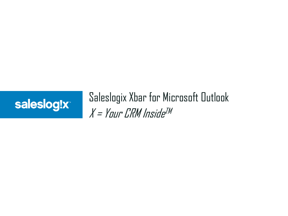

# Saleslogix Xbar for Microsoft Outlook X = Your CRM Inside TM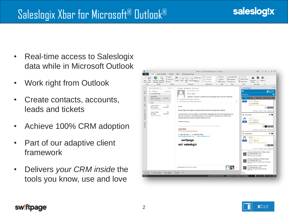## Saleslogix Xbar for Microsoft® Outlook®

- Real-time access to Saleslogix data while in Microsoft Outlook
- Work right from Outlook
- Create contacts, accounts, leads and tickets
- Achieve 100% CRM adoption
- Part of our adaptive client framework
- Delivers *your CRM inside* the tools you know, use and love



#### sw!ftpage®

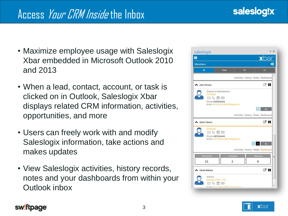- Maximize employee usage with Saleslogix Xbar embedded in Microsoft Outlook 2010 and 2013
- When a lead, contact, account, or task is clicked on in Outlook, Saleslogix Xbar displays related CRM information, activities, opportunities, and more
- Users can freely work with and modify Saleslogix information, take actions and makes updates
- View Saleslogix activities, history records, notes and your dashboards from within your Outlook inbox



### $x$ bar

#### sw!ftpage<sup>®</sup>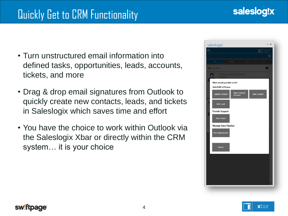- Turn unstructured email information into defined tasks, opportunities, leads, accounts, tickets, and more
- Drag & drop email signatures from Outlook to quickly create new contacts, leads, and tickets in Saleslogix which saves time and effort
- You have the choice to work within Outlook via the Saleslogix Xbar or directly within the CRM system… it is your choice



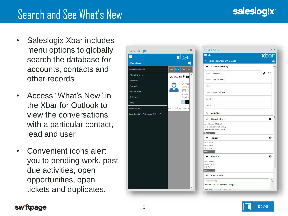## Search and See What's New

- Saleslogix Xbar includes menu options to globally search the database for accounts, contacts and other records
- Access "What's New" in the Xbar for Outlook to view the conversations with a particular contact, lead and user
- Convenient icons alert you to pending work, past due activities, open opportunities, open tickets and duplicates.





#### sw!ftpage<sup>®</sup>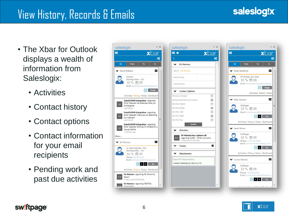## View History, Records & Emails

- The Xbar for Outlook displays a wealth of information from Saleslogix:
	- Activities
	- Contact history
	- Contact options
	- Contact information for your email recipients
	- Pending work and past due activities









#### sw!ftpage